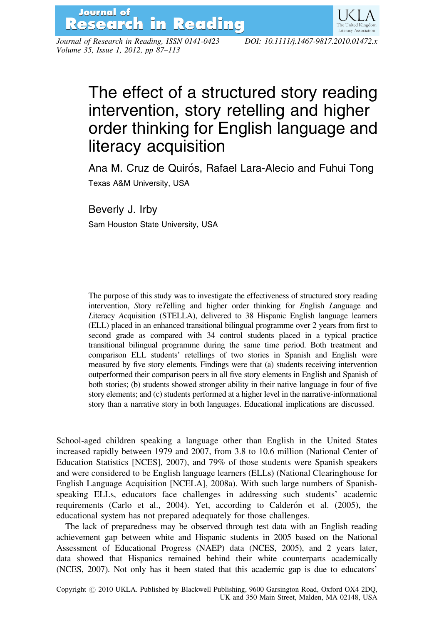Journal of Research in Reading, ISSN 0141-0423 DOI: 10.1111/j.1467-9817.2010.01472.x Volume 35, Issue 1, 2012, pp 87–113

# The effect of a structured story reading intervention, story retelling and higher order thinking for English language and literacy acquisition

Ana M. Cruz de Quirós, Rafael Lara-Alecio and Fuhui Tong Texas A&M University, USA

Beverly J. Irby Sam Houston State University, USA

The purpose of this study was to investigate the effectiveness of structured story reading intervention, Story reTelling and higher order thinking for English Language and Literacy Acquisition (STELLA), delivered to 38 Hispanic English language learners (ELL) placed in an enhanced transitional bilingual programme over 2 years from first to second grade as compared with 34 control students placed in a typical practice transitional bilingual programme during the same time period. Both treatment and comparison ELL students' retellings of two stories in Spanish and English were measured by five story elements. Findings were that (a) students receiving intervention outperformed their comparison peers in all five story elements in English and Spanish of both stories; (b) students showed stronger ability in their native language in four of five story elements; and (c) students performed at a higher level in the narrative-informational story than a narrative story in both languages. Educational implications are discussed.

School-aged children speaking a language other than English in the United States increased rapidly between 1979 and 2007, from 3.8 to 10.6 million (National Center of Education Statistics [NCES], 2007), and 79% of those students were Spanish speakers and were considered to be English language learners (ELLs) (National Clearinghouse for English Language Acquisition [NCELA], 2008a). With such large numbers of Spanishspeaking ELLs, educators face challenges in addressing such students' academic requirements (Carlo et al.,  $2004$ ). Yet, according to Calderón et al. (2005), the educational system has not prepared adequately for those challenges.

The lack of preparedness may be observed through test data with an English reading achievement gap between white and Hispanic students in 2005 based on the National Assessment of Educational Progress (NAEP) data (NCES, 2005), and 2 years later, data showed that Hispanics remained behind their white counterparts academically (NCES, 2007). Not only has it been stated that this academic gap is due to educators'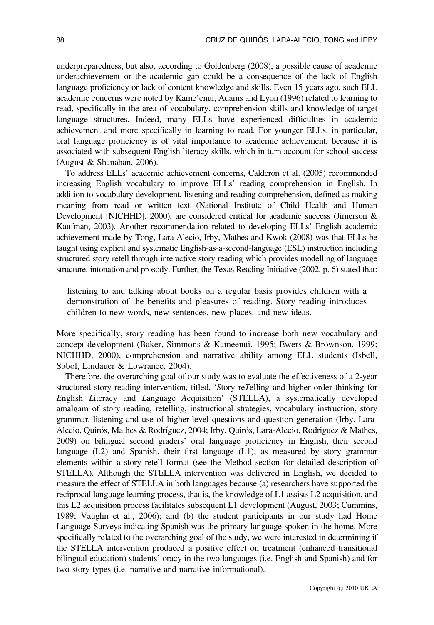underpreparedness, but also, according to Goldenberg (2008), a possible cause of academic underachievement or the academic gap could be a consequence of the lack of English language proficiency or lack of content knowledge and skills. Even 15 years ago, such ELL academic concerns were noted by Kame'enui, Adams and Lyon (1996) related to learning to read, specifically in the area of vocabulary, comprehension skills and knowledge of target language structures. Indeed, many ELLs have experienced difficulties in academic achievement and more specifically in learning to read. For younger ELLs, in particular, oral language proficiency is of vital importance to academic achievement, because it is associated with subsequent English literacy skills, which in turn account for school success (August & Shanahan, 2006).

To address ELLs' academic achievement concerns, Calderón et al. (2005) recommended increasing English vocabulary to improve ELLs' reading comprehension in English. In addition to vocabulary development, listening and reading comprehension, defined as making meaning from read or written text (National Institute of Child Health and Human Development [NICHHD], 2000), are considered critical for academic success (Jimerson & Kaufman, 2003). Another recommendation related to developing ELLs' English academic achievement made by Tong, Lara-Alecio, Irby, Mathes and Kwok (2008) was that ELLs be taught using explicit and systematic English-as-a-second-language (ESL) instruction including structured story retell through interactive story reading which provides modelling of language structure, intonation and prosody. Further, the Texas Reading Initiative (2002, p. 6) stated that:

listening to and talking about books on a regular basis provides children with a demonstration of the benefits and pleasures of reading. Story reading introduces children to new words, new sentences, new places, and new ideas.

More specifically, story reading has been found to increase both new vocabulary and concept development (Baker, Simmons & Kameenui, 1995; Ewers & Brownson, 1999; NICHHD, 2000), comprehension and narrative ability among ELL students (Isbell, Sobol, Lindauer & Lowrance, 2004).

Therefore, the overarching goal of our study was to evaluate the effectiveness of a 2-year structured story reading intervention, titled, 'Story reTelling and higher order thinking for English Literacy and Language Acquisition' (STELLA), a systematically developed amalgam of story reading, retelling, instructional strategies, vocabulary instruction, story grammar, listening and use of higher-level questions and question generation (Irby, Lara-Alecio, Quirós, Mathes & Rodríguez, 2004; Irby, Quirós, Lara-Alecio, Rodriguez & Mathes, 2009) on bilingual second graders' oral language proficiency in English, their second language (L2) and Spanish, their first language (L1), as measured by story grammar elements within a story retell format (see the Method section for detailed description of STELLA). Although the STELLA intervention was delivered in English, we decided to measure the effect of STELLA in both languages because (a) researchers have supported the reciprocal language learning process, that is, the knowledge of L1 assists L2 acquisition, and this L2 acquisition process facilitates subsequent L1 development (August, 2003; Cummins, 1989; Vaughn et al., 2006); and (b) the student participants in our study had Home Language Surveys indicating Spanish was the primary language spoken in the home. More specifically related to the overarching goal of the study, we were interested in determining if the STELLA intervention produced a positive effect on treatment (enhanced transitional bilingual education) students' oracy in the two languages (i.e. English and Spanish) and for two story types (i.e. narrative and narrative informational).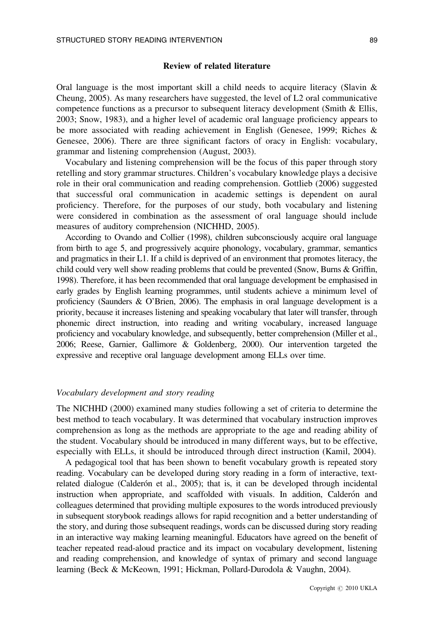## Review of related literature

Oral language is the most important skill a child needs to acquire literacy (Slavin  $\&$ Cheung, 2005). As many researchers have suggested, the level of L2 oral communicative competence functions as a precursor to subsequent literacy development (Smith & Ellis, 2003; Snow, 1983), and a higher level of academic oral language proficiency appears to be more associated with reading achievement in English (Genesee, 1999; Riches & Genesee, 2006). There are three significant factors of oracy in English: vocabulary, grammar and listening comprehension (August, 2003).

Vocabulary and listening comprehension will be the focus of this paper through story retelling and story grammar structures. Children's vocabulary knowledge plays a decisive role in their oral communication and reading comprehension. Gottlieb (2006) suggested that successful oral communication in academic settings is dependent on aural proficiency. Therefore, for the purposes of our study, both vocabulary and listening were considered in combination as the assessment of oral language should include measures of auditory comprehension (NICHHD, 2005).

According to Ovando and Collier (1998), children subconsciously acquire oral language from birth to age 5, and progressively acquire phonology, vocabulary, grammar, semantics and pragmatics in their L1. If a child is deprived of an environment that promotes literacy, the child could very well show reading problems that could be prevented (Snow, Burns & Griffin, 1998). Therefore, it has been recommended that oral language development be emphasised in early grades by English learning programmes, until students achieve a minimum level of proficiency (Saunders & O'Brien, 2006). The emphasis in oral language development is a priority, because it increases listening and speaking vocabulary that later will transfer, through phonemic direct instruction, into reading and writing vocabulary, increased language proficiency and vocabulary knowledge, and subsequently, better comprehension (Miller et al., 2006; Reese, Garnier, Gallimore & Goldenberg, 2000). Our intervention targeted the expressive and receptive oral language development among ELLs over time.

#### Vocabulary development and story reading

The NICHHD (2000) examined many studies following a set of criteria to determine the best method to teach vocabulary. It was determined that vocabulary instruction improves comprehension as long as the methods are appropriate to the age and reading ability of the student. Vocabulary should be introduced in many different ways, but to be effective, especially with ELLs, it should be introduced through direct instruction (Kamil, 2004).

A pedagogical tool that has been shown to benefit vocabulary growth is repeated story reading. Vocabulary can be developed during story reading in a form of interactive, textrelated dialogue (Calderón et al., 2005); that is, it can be developed through incidental instruction when appropriate, and scaffolded with visuals. In addition, Calderón and colleagues determined that providing multiple exposures to the words introduced previously in subsequent storybook readings allows for rapid recognition and a better understanding of the story, and during those subsequent readings, words can be discussed during story reading in an interactive way making learning meaningful. Educators have agreed on the benefit of teacher repeated read-aloud practice and its impact on vocabulary development, listening and reading comprehension, and knowledge of syntax of primary and second language learning (Beck & McKeown, 1991; Hickman, Pollard-Durodola & Vaughn, 2004).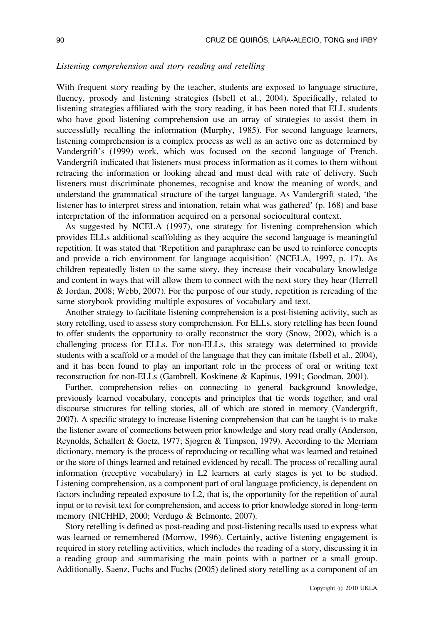#### Listening comprehension and story reading and retelling

With frequent story reading by the teacher, students are exposed to language structure, fluency, prosody and listening strategies (Isbell et al., 2004). Specifically, related to listening strategies affiliated with the story reading, it has been noted that ELL students who have good listening comprehension use an array of strategies to assist them in successfully recalling the information (Murphy, 1985). For second language learners, listening comprehension is a complex process as well as an active one as determined by Vandergrift's (1999) work, which was focused on the second language of French. Vandergrift indicated that listeners must process information as it comes to them without retracing the information or looking ahead and must deal with rate of delivery. Such listeners must discriminate phonemes, recognise and know the meaning of words, and understand the grammatical structure of the target language. As Vandergrift stated, 'the listener has to interpret stress and intonation, retain what was gathered' (p. 168) and base interpretation of the information acquired on a personal sociocultural context.

As suggested by NCELA (1997), one strategy for listening comprehension which provides ELLs additional scaffolding as they acquire the second language is meaningful repetition. It was stated that 'Repetition and paraphrase can be used to reinforce concepts and provide a rich environment for language acquisition' (NCELA, 1997, p. 17). As children repeatedly listen to the same story, they increase their vocabulary knowledge and content in ways that will allow them to connect with the next story they hear (Herrell & Jordan, 2008; Webb, 2007). For the purpose of our study, repetition is rereading of the same storybook providing multiple exposures of vocabulary and text.

Another strategy to facilitate listening comprehension is a post-listening activity, such as story retelling, used to assess story comprehension. For ELLs, story retelling has been found to offer students the opportunity to orally reconstruct the story (Snow, 2002), which is a challenging process for ELLs. For non-ELLs, this strategy was determined to provide students with a scaffold or a model of the language that they can imitate (Isbell et al., 2004), and it has been found to play an important role in the process of oral or writing text reconstruction for non-ELLs (Gambrell, Koskinene & Kapinus, 1991; Goodman, 2001).

Further, comprehension relies on connecting to general background knowledge, previously learned vocabulary, concepts and principles that tie words together, and oral discourse structures for telling stories, all of which are stored in memory (Vandergrift, 2007). A specific strategy to increase listening comprehension that can be taught is to make the listener aware of connections between prior knowledge and story read orally (Anderson, Reynolds, Schallert & Goetz, 1977; Sjogren & Timpson, 1979). According to the Merriam dictionary, memory is the process of reproducing or recalling what was learned and retained or the store of things learned and retained evidenced by recall. The process of recalling aural information (receptive vocabulary) in L2 learners at early stages is yet to be studied. Listening comprehension, as a component part of oral language proficiency, is dependent on factors including repeated exposure to L2, that is, the opportunity for the repetition of aural input or to revisit text for comprehension, and access to prior knowledge stored in long-term memory (NICHHD, 2000; Verdugo & Belmonte, 2007).

Story retelling is defined as post-reading and post-listening recalls used to express what was learned or remembered (Morrow, 1996). Certainly, active listening engagement is required in story retelling activities, which includes the reading of a story, discussing it in a reading group and summarising the main points with a partner or a small group. Additionally, Saenz, Fuchs and Fuchs (2005) defined story retelling as a component of an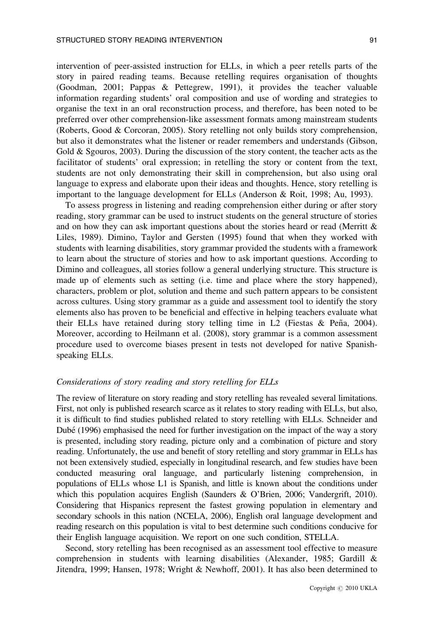intervention of peer-assisted instruction for ELLs, in which a peer retells parts of the story in paired reading teams. Because retelling requires organisation of thoughts (Goodman, 2001; Pappas & Pettegrew, 1991), it provides the teacher valuable information regarding students' oral composition and use of wording and strategies to organise the text in an oral reconstruction process, and therefore, has been noted to be preferred over other comprehension-like assessment formats among mainstream students (Roberts, Good & Corcoran, 2005). Story retelling not only builds story comprehension, but also it demonstrates what the listener or reader remembers and understands (Gibson, Gold & Sgouros, 2003). During the discussion of the story content, the teacher acts as the facilitator of students' oral expression; in retelling the story or content from the text, students are not only demonstrating their skill in comprehension, but also using oral language to express and elaborate upon their ideas and thoughts. Hence, story retelling is important to the language development for ELLs (Anderson & Roit, 1998; Au, 1993).

To assess progress in listening and reading comprehension either during or after story reading, story grammar can be used to instruct students on the general structure of stories and on how they can ask important questions about the stories heard or read (Merritt  $\&$ Liles, 1989). Dimino, Taylor and Gersten (1995) found that when they worked with students with learning disabilities, story grammar provided the students with a framework to learn about the structure of stories and how to ask important questions. According to Dimino and colleagues, all stories follow a general underlying structure. This structure is made up of elements such as setting (i.e. time and place where the story happened), characters, problem or plot, solution and theme and such pattern appears to be consistent across cultures. Using story grammar as a guide and assessment tool to identify the story elements also has proven to be beneficial and effective in helping teachers evaluate what their ELLs have retained during story telling time in L2 (Fiestas  $\&$  Peña, 2004). Moreover, according to Heilmann et al. (2008), story grammar is a common assessment procedure used to overcome biases present in tests not developed for native Spanishspeaking ELLs.

## Considerations of story reading and story retelling for ELLs

The review of literature on story reading and story retelling has revealed several limitations. First, not only is published research scarce as it relates to story reading with ELLs, but also, it is difficult to find studies published related to story retelling with ELLs. Schneider and Dubé (1996) emphasised the need for further investigation on the impact of the way a story is presented, including story reading, picture only and a combination of picture and story reading. Unfortunately, the use and benefit of story retelling and story grammar in ELLs has not been extensively studied, especially in longitudinal research, and few studies have been conducted measuring oral language, and particularly listening comprehension, in populations of ELLs whose L1 is Spanish, and little is known about the conditions under which this population acquires English (Saunders & O'Brien, 2006; Vandergrift, 2010). Considering that Hispanics represent the fastest growing population in elementary and secondary schools in this nation (NCELA, 2006), English oral language development and reading research on this population is vital to best determine such conditions conducive for their English language acquisition. We report on one such condition, STELLA.

Second, story retelling has been recognised as an assessment tool effective to measure comprehension in students with learning disabilities (Alexander, 1985; Gardill & Jitendra, 1999; Hansen, 1978; Wright & Newhoff, 2001). It has also been determined to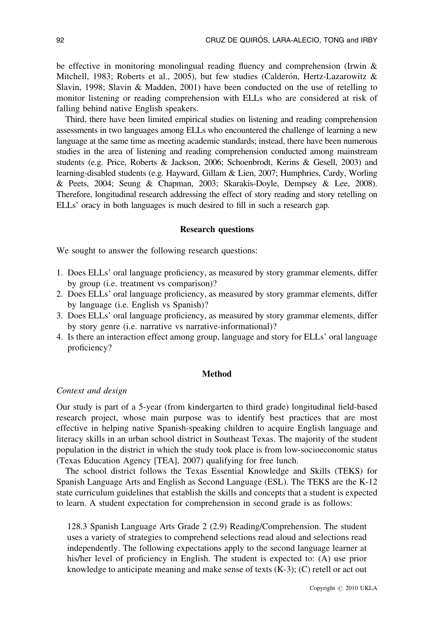be effective in monitoring monolingual reading fluency and comprehension (Irwin & Mitchell, 1983; Roberts et al., 2005), but few studies (Calderón, Hertz-Lazarowitz  $\&$ Slavin, 1998; Slavin & Madden, 2001) have been conducted on the use of retelling to monitor listening or reading comprehension with ELLs who are considered at risk of falling behind native English speakers.

Third, there have been limited empirical studies on listening and reading comprehension assessments in two languages among ELLs who encountered the challenge of learning a new language at the same time as meeting academic standards; instead, there have been numerous studies in the area of listening and reading comprehension conducted among mainstream students (e.g. Price, Roberts & Jackson, 2006; Schoenbrodt, Kerins & Gesell, 2003) and learning-disabled students (e.g. Hayward, Gillam & Lien, 2007; Humphries, Cardy, Worling & Peets, 2004; Seung & Chapman, 2003; Skarakis-Doyle, Dempsey & Lee, 2008). Therefore, longitudinal research addressing the effect of story reading and story retelling on ELLs' oracy in both languages is much desired to fill in such a research gap.

## Research questions

We sought to answer the following research questions:

- 1. Does ELLs' oral language proficiency, as measured by story grammar elements, differ by group (i.e. treatment vs comparison)?
- 2. Does ELLs' oral language proficiency, as measured by story grammar elements, differ by language (i.e. English vs Spanish)?
- 3. Does ELLs' oral language proficiency, as measured by story grammar elements, differ by story genre (i.e. narrative vs narrative-informational)?
- 4. Is there an interaction effect among group, language and story for ELLs' oral language proficiency?

#### Method

#### Context and design

Our study is part of a 5-year (from kindergarten to third grade) longitudinal field-based research project, whose main purpose was to identify best practices that are most effective in helping native Spanish-speaking children to acquire English language and literacy skills in an urban school district in Southeast Texas. The majority of the student population in the district in which the study took place is from low-socioeconomic status (Texas Education Agency [TEA], 2007) qualifying for free lunch.

The school district follows the Texas Essential Knowledge and Skills (TEKS) for Spanish Language Arts and English as Second Language (ESL). The TEKS are the K-12 state curriculum guidelines that establish the skills and concepts that a student is expected to learn. A student expectation for comprehension in second grade is as follows:

128.3 Spanish Language Arts Grade 2 (2.9) Reading/Comprehension. The student uses a variety of strategies to comprehend selections read aloud and selections read independently. The following expectations apply to the second language learner at his/her level of proficiency in English. The student is expected to: (A) use prior knowledge to anticipate meaning and make sense of texts (K-3); (C) retell or act out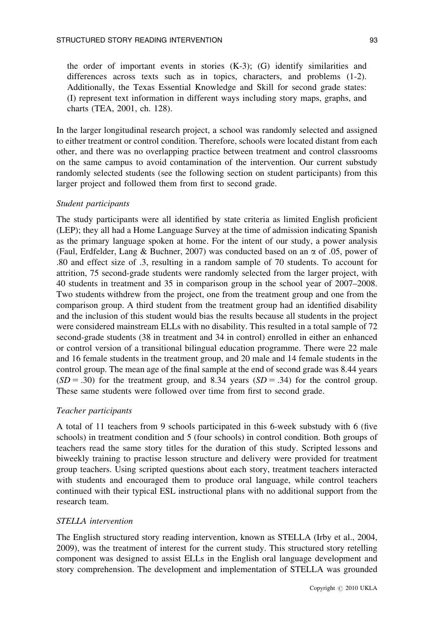the order of important events in stories  $(K-3)$ ;  $(G)$  identify similarities and differences across texts such as in topics, characters, and problems (1-2). Additionally, the Texas Essential Knowledge and Skill for second grade states: (I) represent text information in different ways including story maps, graphs, and charts (TEA, 2001, ch. 128).

In the larger longitudinal research project, a school was randomly selected and assigned to either treatment or control condition. Therefore, schools were located distant from each other, and there was no overlapping practice between treatment and control classrooms on the same campus to avoid contamination of the intervention. Our current substudy randomly selected students (see the following section on student participants) from this larger project and followed them from first to second grade.

## Student participants

The study participants were all identified by state criteria as limited English proficient (LEP); they all had a Home Language Survey at the time of admission indicating Spanish as the primary language spoken at home. For the intent of our study, a power analysis (Faul, Erdfelder, Lang & Buchner, 2007) was conducted based on an  $\alpha$  of .05, power of .80 and effect size of .3, resulting in a random sample of 70 students. To account for attrition, 75 second-grade students were randomly selected from the larger project, with 40 students in treatment and 35 in comparison group in the school year of 2007–2008. Two students withdrew from the project, one from the treatment group and one from the comparison group. A third student from the treatment group had an identified disability and the inclusion of this student would bias the results because all students in the project were considered mainstream ELLs with no disability. This resulted in a total sample of 72 second-grade students (38 in treatment and 34 in control) enrolled in either an enhanced or control version of a transitional bilingual education programme. There were 22 male and 16 female students in the treatment group, and 20 male and 14 female students in the control group. The mean age of the final sample at the end of second grade was 8.44 years  $(SD = .30)$  for the treatment group, and 8.34 years  $(SD = .34)$  for the control group. These same students were followed over time from first to second grade.

## Teacher participants

A total of 11 teachers from 9 schools participated in this 6-week substudy with 6 (five schools) in treatment condition and 5 (four schools) in control condition. Both groups of teachers read the same story titles for the duration of this study. Scripted lessons and biweekly training to practise lesson structure and delivery were provided for treatment group teachers. Using scripted questions about each story, treatment teachers interacted with students and encouraged them to produce oral language, while control teachers continued with their typical ESL instructional plans with no additional support from the research team.

## STELLA intervention

The English structured story reading intervention, known as STELLA (Irby et al., 2004, 2009), was the treatment of interest for the current study. This structured story retelling component was designed to assist ELLs in the English oral language development and story comprehension. The development and implementation of STELLA was grounded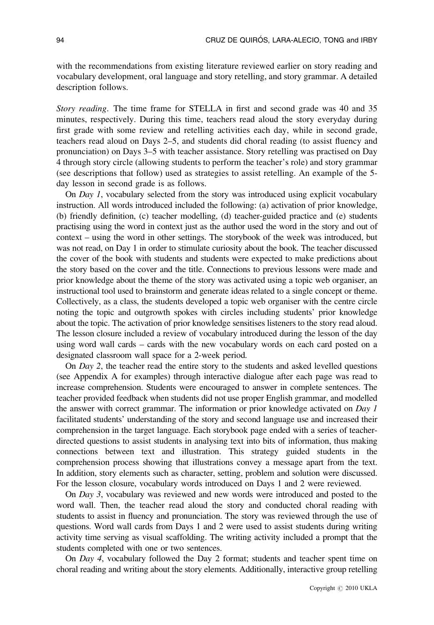with the recommendations from existing literature reviewed earlier on story reading and vocabulary development, oral language and story retelling, and story grammar. A detailed description follows.

Story reading. The time frame for STELLA in first and second grade was 40 and 35 minutes, respectively. During this time, teachers read aloud the story everyday during first grade with some review and retelling activities each day, while in second grade, teachers read aloud on Days 2–5, and students did choral reading (to assist fluency and pronunciation) on Days 3–5 with teacher assistance. Story retelling was practised on Day 4 through story circle (allowing students to perform the teacher's role) and story grammar (see descriptions that follow) used as strategies to assist retelling. An example of the 5 day lesson in second grade is as follows.

On Day 1, vocabulary selected from the story was introduced using explicit vocabulary instruction. All words introduced included the following: (a) activation of prior knowledge, (b) friendly definition, (c) teacher modelling, (d) teacher-guided practice and (e) students practising using the word in context just as the author used the word in the story and out of context – using the word in other settings. The storybook of the week was introduced, but was not read, on Day 1 in order to stimulate curiosity about the book. The teacher discussed the cover of the book with students and students were expected to make predictions about the story based on the cover and the title. Connections to previous lessons were made and prior knowledge about the theme of the story was activated using a topic web organiser, an instructional tool used to brainstorm and generate ideas related to a single concept or theme. Collectively, as a class, the students developed a topic web organiser with the centre circle noting the topic and outgrowth spokes with circles including students' prior knowledge about the topic. The activation of prior knowledge sensitises listeners to the story read aloud. The lesson closure included a review of vocabulary introduced during the lesson of the day using word wall cards – cards with the new vocabulary words on each card posted on a designated classroom wall space for a 2-week period.

On  $Day$  2, the teacher read the entire story to the students and asked levelled questions (see Appendix A for examples) through interactive dialogue after each page was read to increase comprehension. Students were encouraged to answer in complete sentences. The teacher provided feedback when students did not use proper English grammar, and modelled the answer with correct grammar. The information or prior knowledge activated on Day 1 facilitated students' understanding of the story and second language use and increased their comprehension in the target language. Each storybook page ended with a series of teacherdirected questions to assist students in analysing text into bits of information, thus making connections between text and illustration. This strategy guided students in the comprehension process showing that illustrations convey a message apart from the text. In addition, story elements such as character, setting, problem and solution were discussed. For the lesson closure, vocabulary words introduced on Days 1 and 2 were reviewed.

On Day 3, vocabulary was reviewed and new words were introduced and posted to the word wall. Then, the teacher read aloud the story and conducted choral reading with students to assist in fluency and pronunciation. The story was reviewed through the use of questions. Word wall cards from Days 1 and 2 were used to assist students during writing activity time serving as visual scaffolding. The writing activity included a prompt that the students completed with one or two sentences.

On Day 4, vocabulary followed the Day 2 format; students and teacher spent time on choral reading and writing about the story elements. Additionally, interactive group retelling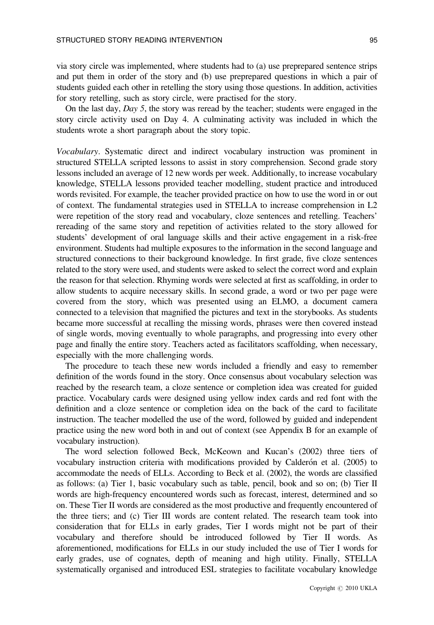via story circle was implemented, where students had to (a) use preprepared sentence strips and put them in order of the story and (b) use preprepared questions in which a pair of students guided each other in retelling the story using those questions. In addition, activities for story retelling, such as story circle, were practised for the story.

On the last day,  $Day\ 5$ , the story was reread by the teacher; students were engaged in the story circle activity used on Day 4. A culminating activity was included in which the students wrote a short paragraph about the story topic.

Vocabulary. Systematic direct and indirect vocabulary instruction was prominent in structured STELLA scripted lessons to assist in story comprehension. Second grade story lessons included an average of 12 new words per week. Additionally, to increase vocabulary knowledge, STELLA lessons provided teacher modelling, student practice and introduced words revisited. For example, the teacher provided practice on how to use the word in or out of context. The fundamental strategies used in STELLA to increase comprehension in L2 were repetition of the story read and vocabulary, cloze sentences and retelling. Teachers' rereading of the same story and repetition of activities related to the story allowed for students' development of oral language skills and their active engagement in a risk-free environment. Students had multiple exposures to the information in the second language and structured connections to their background knowledge. In first grade, five cloze sentences related to the story were used, and students were asked to select the correct word and explain the reason for that selection. Rhyming words were selected at first as scaffolding, in order to allow students to acquire necessary skills. In second grade, a word or two per page were covered from the story, which was presented using an ELMO, a document camera connected to a television that magnified the pictures and text in the storybooks. As students became more successful at recalling the missing words, phrases were then covered instead of single words, moving eventually to whole paragraphs, and progressing into every other page and finally the entire story. Teachers acted as facilitators scaffolding, when necessary, especially with the more challenging words.

The procedure to teach these new words included a friendly and easy to remember definition of the words found in the story. Once consensus about vocabulary selection was reached by the research team, a cloze sentence or completion idea was created for guided practice. Vocabulary cards were designed using yellow index cards and red font with the definition and a cloze sentence or completion idea on the back of the card to facilitate instruction. The teacher modelled the use of the word, followed by guided and independent practice using the new word both in and out of context (see Appendix B for an example of vocabulary instruction).

The word selection followed Beck, McKeown and Kucan's (2002) three tiers of vocabulary instruction criteria with modifications provided by Calderón et al. (2005) to accommodate the needs of ELLs. According to Beck et al. (2002), the words are classified as follows: (a) Tier 1, basic vocabulary such as table, pencil, book and so on; (b) Tier II words are high-frequency encountered words such as forecast, interest, determined and so on. These Tier II words are considered as the most productive and frequently encountered of the three tiers; and (c) Tier III words are content related. The research team took into consideration that for ELLs in early grades, Tier I words might not be part of their vocabulary and therefore should be introduced followed by Tier II words. As aforementioned, modifications for ELLs in our study included the use of Tier I words for early grades, use of cognates, depth of meaning and high utility. Finally, STELLA systematically organised and introduced ESL strategies to facilitate vocabulary knowledge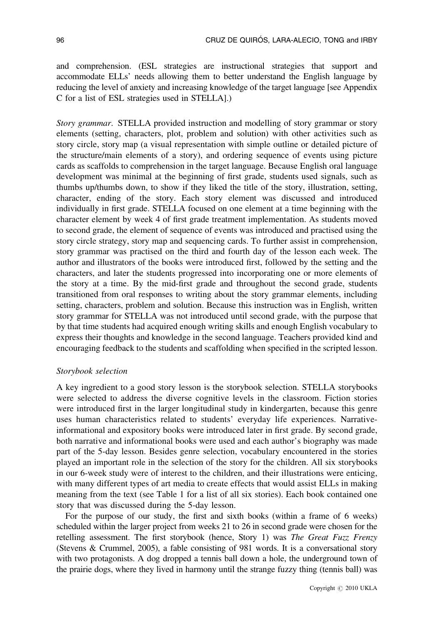and comprehension. (ESL strategies are instructional strategies that support and accommodate ELLs' needs allowing them to better understand the English language by reducing the level of anxiety and increasing knowledge of the target language [see Appendix C for a list of ESL strategies used in STELLA].)

Story grammar. STELLA provided instruction and modelling of story grammar or story elements (setting, characters, plot, problem and solution) with other activities such as story circle, story map (a visual representation with simple outline or detailed picture of the structure/main elements of a story), and ordering sequence of events using picture cards as scaffolds to comprehension in the target language. Because English oral language development was minimal at the beginning of first grade, students used signals, such as thumbs up/thumbs down, to show if they liked the title of the story, illustration, setting, character, ending of the story. Each story element was discussed and introduced individually in first grade. STELLA focused on one element at a time beginning with the character element by week 4 of first grade treatment implementation. As students moved to second grade, the element of sequence of events was introduced and practised using the story circle strategy, story map and sequencing cards. To further assist in comprehension, story grammar was practised on the third and fourth day of the lesson each week. The author and illustrators of the books were introduced first, followed by the setting and the characters, and later the students progressed into incorporating one or more elements of the story at a time. By the mid-first grade and throughout the second grade, students transitioned from oral responses to writing about the story grammar elements, including setting, characters, problem and solution. Because this instruction was in English, written story grammar for STELLA was not introduced until second grade, with the purpose that by that time students had acquired enough writing skills and enough English vocabulary to express their thoughts and knowledge in the second language. Teachers provided kind and encouraging feedback to the students and scaffolding when specified in the scripted lesson.

## Storybook selection

A key ingredient to a good story lesson is the storybook selection. STELLA storybooks were selected to address the diverse cognitive levels in the classroom. Fiction stories were introduced first in the larger longitudinal study in kindergarten, because this genre uses human characteristics related to students' everyday life experiences. Narrativeinformational and expository books were introduced later in first grade. By second grade, both narrative and informational books were used and each author's biography was made part of the 5-day lesson. Besides genre selection, vocabulary encountered in the stories played an important role in the selection of the story for the children. All six storybooks in our 6-week study were of interest to the children, and their illustrations were enticing, with many different types of art media to create effects that would assist ELLs in making meaning from the text (see Table 1 for a list of all six stories). Each book contained one story that was discussed during the 5-day lesson.

For the purpose of our study, the first and sixth books (within a frame of 6 weeks) scheduled within the larger project from weeks 21 to 26 in second grade were chosen for the retelling assessment. The first storybook (hence, Story 1) was The Great Fuzz Frenzy (Stevens & Crummel, 2005), a fable consisting of 981 words. It is a conversational story with two protagonists. A dog dropped a tennis ball down a hole, the underground town of the prairie dogs, where they lived in harmony until the strange fuzzy thing (tennis ball) was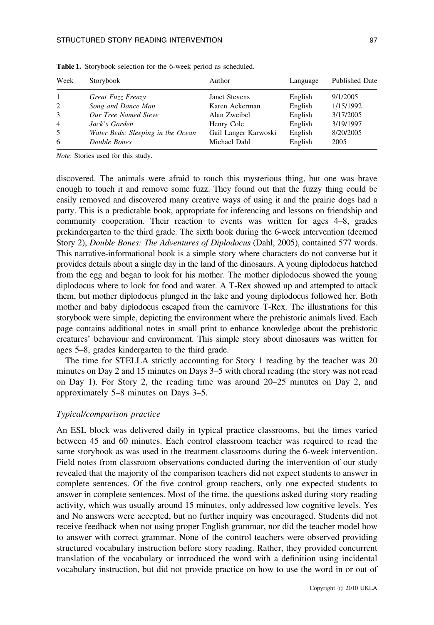#### STRUCTURED STORY READING INTERVENTION

| Week           | Storybook                         | Author               | Language | <b>Published Date</b> |  |
|----------------|-----------------------------------|----------------------|----------|-----------------------|--|
| -1             | Great Fuzz Frenzy                 | Janet Stevens        | English  | 9/1/2005              |  |
| 2              | Song and Dance Man                | Karen Ackerman       | English  | 1/15/1992             |  |
| 3              | Our Tree Named Steve              | Alan Zweibel         | English  | 3/17/2005             |  |
| $\overline{4}$ | Jack's Garden                     | Henry Cole           | English  | 3/19/1997             |  |
| .5             | Water Beds: Sleeping in the Ocean | Gail Langer Karwoski | English  | 8/20/2005             |  |
| 6              | Double Bones                      | Michael Dahl         | English  | 2005                  |  |

Table 1. Storybook selection for the 6-week period as scheduled.

Note: Stories used for this study.

discovered. The animals were afraid to touch this mysterious thing, but one was brave enough to touch it and remove some fuzz. They found out that the fuzzy thing could be easily removed and discovered many creative ways of using it and the prairie dogs had a party. This is a predictable book, appropriate for inferencing and lessons on friendship and community cooperation. Their reaction to events was written for ages 4–8, grades prekindergarten to the third grade. The sixth book during the 6-week intervention (deemed Story 2), Double Bones: The Adventures of Diplodocus (Dahl, 2005), contained 577 words. This narrative-informational book is a simple story where characters do not converse but it provides details about a single day in the land of the dinosaurs. A young diplodocus hatched from the egg and began to look for his mother. The mother diplodocus showed the young diplodocus where to look for food and water. A T-Rex showed up and attempted to attack them, but mother diplodocus plunged in the lake and young diplodocus followed her. Both mother and baby diplodocus escaped from the carnivore T-Rex. The illustrations for this storybook were simple, depicting the environment where the prehistoric animals lived. Each page contains additional notes in small print to enhance knowledge about the prehistoric creatures' behaviour and environment. This simple story about dinosaurs was written for ages 5–8, grades kindergarten to the third grade.

The time for STELLA strictly accounting for Story 1 reading by the teacher was 20 minutes on Day 2 and 15 minutes on Days 3–5 with choral reading (the story was not read on Day 1). For Story 2, the reading time was around 20–25 minutes on Day 2, and approximately 5–8 minutes on Days 3–5.

## Typical/comparison practice

An ESL block was delivered daily in typical practice classrooms, but the times varied between 45 and 60 minutes. Each control classroom teacher was required to read the same storybook as was used in the treatment classrooms during the 6-week intervention. Field notes from classroom observations conducted during the intervention of our study revealed that the majority of the comparison teachers did not expect students to answer in complete sentences. Of the five control group teachers, only one expected students to answer in complete sentences. Most of the time, the questions asked during story reading activity, which was usually around 15 minutes, only addressed low cognitive levels. Yes and No answers were accepted, but no further inquiry was encouraged. Students did not receive feedback when not using proper English grammar, nor did the teacher model how to answer with correct grammar. None of the control teachers were observed providing structured vocabulary instruction before story reading. Rather, they provided concurrent translation of the vocabulary or introduced the word with a definition using incidental vocabulary instruction, but did not provide practice on how to use the word in or out of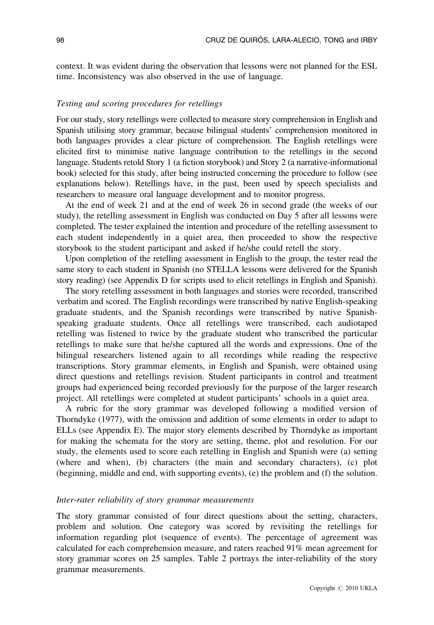context. It was evident during the observation that lessons were not planned for the ESL time. Inconsistency was also observed in the use of language.

## Testing and scoring procedures for retellings

For our study, story retellings were collected to measure story comprehension in English and Spanish utilising story grammar, because bilingual students' comprehension monitored in both languages provides a clear picture of comprehension. The English retellings were elicited first to minimise native language contribution to the retellings in the second language. Students retold Story 1 (a fiction storybook) and Story 2 (a narrative-informational book) selected for this study, after being instructed concerning the procedure to follow (see explanations below). Retellings have, in the past, been used by speech specialists and researchers to measure oral language development and to monitor progress.

At the end of week 21 and at the end of week 26 in second grade (the weeks of our study), the retelling assessment in English was conducted on Day 5 after all lessons were completed. The tester explained the intention and procedure of the retelling assessment to each student independently in a quiet area, then proceeded to show the respective storybook to the student participant and asked if he/she could retell the story.

Upon completion of the retelling assessment in English to the group, the tester read the same story to each student in Spanish (no STELLA lessons were delivered for the Spanish story reading) (see Appendix D for scripts used to elicit retellings in English and Spanish).

The story retelling assessment in both languages and stories were recorded, transcribed verbatim and scored. The English recordings were transcribed by native English-speaking graduate students, and the Spanish recordings were transcribed by native Spanishspeaking graduate students. Once all retellings were transcribed, each audiotaped retelling was listened to twice by the graduate student who transcribed the particular retellings to make sure that he/she captured all the words and expressions. One of the bilingual researchers listened again to all recordings while reading the respective transcriptions. Story grammar elements, in English and Spanish, were obtained using direct questions and retellings revision. Student participants in control and treatment groups had experienced being recorded previously for the purpose of the larger research project. All retellings were completed at student participants' schools in a quiet area.

A rubric for the story grammar was developed following a modified version of Thorndyke (1977), with the omission and addition of some elements in order to adapt to ELLs (see Appendix E). The major story elements described by Thorndyke as important for making the schemata for the story are setting, theme, plot and resolution. For our study, the elements used to score each retelling in English and Spanish were (a) setting (where and when), (b) characters (the main and secondary characters), (c) plot (beginning, middle and end, with supporting events), (e) the problem and (f) the solution.

## Inter-rater reliability of story grammar measurements

The story grammar consisted of four direct questions about the setting, characters, problem and solution. One category was scored by revisiting the retellings for information regarding plot (sequence of events). The percentage of agreement was calculated for each comprehension measure, and raters reached 91% mean agreement for story grammar scores on 25 samples. Table 2 portrays the inter-reliability of the story grammar measurements.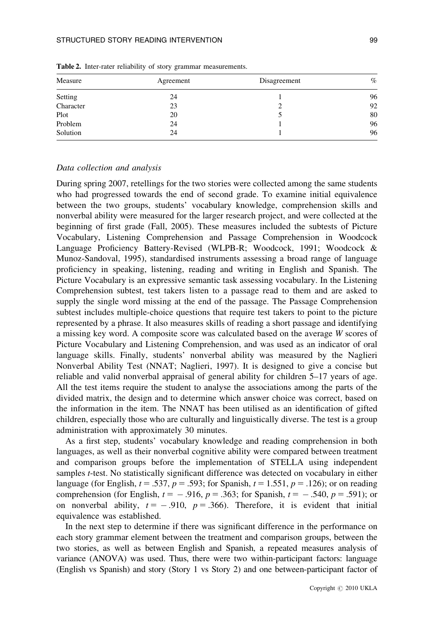| Measure   | Agreement | Disagreement | $\%$ |
|-----------|-----------|--------------|------|
| Setting   | 24        |              | 96   |
| Character | 23        |              | 92   |
| Plot      | 20        |              | 80   |
| Problem   | 24        |              | 96   |
| Solution  | 24        |              | 96   |

Table 2. Inter-rater reliability of story grammar measurements.

#### Data collection and analysis

During spring 2007, retellings for the two stories were collected among the same students who had progressed towards the end of second grade. To examine initial equivalence between the two groups, students' vocabulary knowledge, comprehension skills and nonverbal ability were measured for the larger research project, and were collected at the beginning of first grade (Fall, 2005). These measures included the subtests of Picture Vocabulary, Listening Comprehension and Passage Comprehension in Woodcock Language Proficiency Battery-Revised (WLPB-R; Woodcock, 1991; Woodcock & Munoz-Sandoval, 1995), standardised instruments assessing a broad range of language proficiency in speaking, listening, reading and writing in English and Spanish. The Picture Vocabulary is an expressive semantic task assessing vocabulary. In the Listening Comprehension subtest, test takers listen to a passage read to them and are asked to supply the single word missing at the end of the passage. The Passage Comprehension subtest includes multiple-choice questions that require test takers to point to the picture represented by a phrase. It also measures skills of reading a short passage and identifying a missing key word. A composite score was calculated based on the average W scores of Picture Vocabulary and Listening Comprehension, and was used as an indicator of oral language skills. Finally, students' nonverbal ability was measured by the Naglieri Nonverbal Ability Test (NNAT; Naglieri, 1997). It is designed to give a concise but reliable and valid nonverbal appraisal of general ability for children 5–17 years of age. All the test items require the student to analyse the associations among the parts of the divided matrix, the design and to determine which answer choice was correct, based on the information in the item. The NNAT has been utilised as an identification of gifted children, especially those who are culturally and linguistically diverse. The test is a group administration with approximately 30 minutes.

As a first step, students' vocabulary knowledge and reading comprehension in both languages, as well as their nonverbal cognitive ability were compared between treatment and comparison groups before the implementation of STELLA using independent samples t-test. No statistically significant difference was detected on vocabulary in either language (for English,  $t = .537$ ,  $p = .593$ ; for Spanish,  $t = 1.551$ ,  $p = .126$ ); or on reading comprehension (for English,  $t = -0.916$ ,  $p = 0.363$ ; for Spanish,  $t = -0.540$ ,  $p = 0.591$ ); or on nonverbal ability,  $t = -.910$ ,  $p = .366$ ). Therefore, it is evident that initial equivalence was established.

In the next step to determine if there was significant difference in the performance on each story grammar element between the treatment and comparison groups, between the two stories, as well as between English and Spanish, a repeated measures analysis of variance (ANOVA) was used. Thus, there were two within-participant factors: language (English vs Spanish) and story (Story 1 vs Story 2) and one between-participant factor of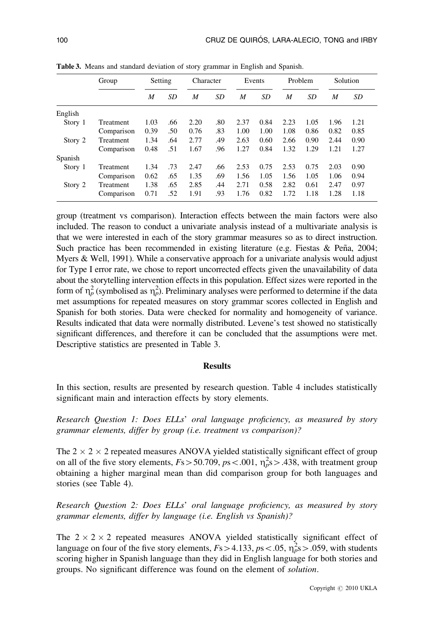|         | Group      | Setting |     | Character |     | Events |      | Problem |      | Solution |      |
|---------|------------|---------|-----|-----------|-----|--------|------|---------|------|----------|------|
|         |            | M       | SD  | M         | SD  | M      | SD   | M       | SD   | M        | SD   |
| English |            |         |     |           |     |        |      |         |      |          |      |
| Story 1 | Treatment  | 1.03    | .66 | 2.20      | .80 | 2.37   | 0.84 | 2.23    | 1.05 | 1.96     | 1.21 |
|         | Comparison | 0.39    | .50 | 0.76      | .83 | 1.00   | 1.00 | 1.08    | 0.86 | 0.82     | 0.85 |
| Story 2 | Treatment  | 1.34    | .64 | 2.77      | .49 | 2.63   | 0.60 | 2.66    | 0.90 | 2.44     | 0.90 |
|         | Comparison | 0.48    | .51 | 1.67      | .96 | 1.27   | 0.84 | 1.32    | 1.29 | 1.21     | 1.27 |
| Spanish |            |         |     |           |     |        |      |         |      |          |      |
| Story 1 | Treatment  | 1.34    | .73 | 2.47      | .66 | 2.53   | 0.75 | 2.53    | 0.75 | 2.03     | 0.90 |
|         | Comparison | 0.62    | .65 | 1.35      | .69 | 1.56   | 1.05 | 1.56    | 1.05 | 1.06     | 0.94 |
| Story 2 | Treatment  | 1.38    | .65 | 2.85      | .44 | 2.71   | 0.58 | 2.82    | 0.61 | 2.47     | 0.97 |
|         | Comparison | 0.71    | .52 | 1.91      | .93 | 1.76   | 0.82 | 1.72    | 1.18 | 1.28     | 1.18 |

Table 3. Means and standard deviation of story grammar in English and Spanish.

group (treatment vs comparison). Interaction effects between the main factors were also included. The reason to conduct a univariate analysis instead of a multivariate analysis is that we were interested in each of the story grammar measures so as to direct instruction. Such practice has been recommended in existing literature (e.g. Fiestas  $\&$  Peña, 2004; Myers & Well, 1991). While a conservative approach for a univariate analysis would adjust for Type I error rate, we chose to report uncorrected effects given the unavailability of data about the storytelling intervention effects in this population. Effect sizes were reported in the form of  $\eta_p^2$  (symbolised as  $\eta_p^2$ ). Preliminary analyses were performed to determine if the data met assumptions for repeated measures on story grammar scores collected in English and Spanish for both stories. Data were checked for normality and homogeneity of variance. Results indicated that data were normally distributed. Levene's test showed no statistically significant differences, and therefore it can be concluded that the assumptions were met. Descriptive statistics are presented in Table 3.

#### Results

In this section, results are presented by research question. Table 4 includes statistically significant main and interaction effects by story elements.

Research Question 1: Does ELLs' oral language proficiency, as measured by story grammar elements, differ by group (i.e. treatment vs comparison)?

The  $2 \times 2 \times 2$  repeated measures ANOVA yielded statistically significant effect of group on all of the five story elements,  $Fs > 50.709$ ,  $ps < .001$ ,  $\eta_p^2 s > .438$ , with treatment group obtaining a higher marginal mean than did comparison group for both languages and stories (see Table 4).

Research Question 2: Does ELLs' oral language proficiency, as measured by story grammar elements, differ by language (i.e. English vs Spanish)?

The  $2 \times 2 \times 2$  repeated measures ANOVA yielded statistically significant effect of language on four of the five story elements,  $Fs > 4.133$ ,  $ps < .05$ ,  $\eta_{p}^{2}s > .059$ , with students scoring higher in Spanish language than they did in English language for both stories and groups. No significant difference was found on the element of solution.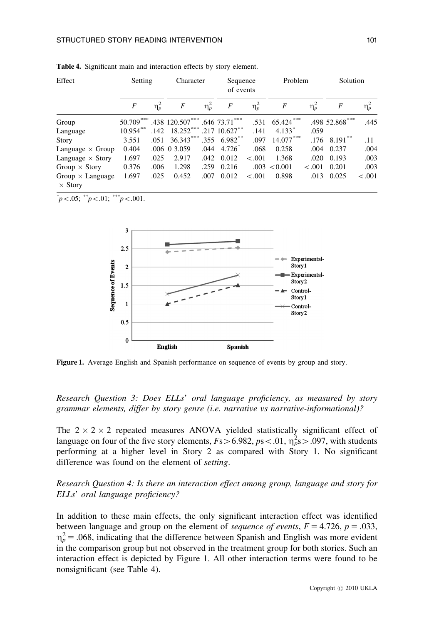| Effect                                    | Setting     |            | Character                     |            | Sequence<br>of events      |            | Problem      |            | Solution         |            |
|-------------------------------------------|-------------|------------|-------------------------------|------------|----------------------------|------------|--------------|------------|------------------|------------|
|                                           | F           | $\eta_p^2$ | $\boldsymbol{F}$              | $\eta_p^2$ | $\boldsymbol{F}$           | $\eta_p^2$ | F            | $\eta_p^2$ | $\boldsymbol{F}$ | $\eta_p^2$ |
| Group                                     | $50.709***$ |            | .438 120.507*** .646 73.71*** |            |                            | .531       | 65.424***    |            | .498 52.868***   | .445       |
| Language                                  | $10.954***$ |            | .142 18.252*** .217 10.627**  |            |                            | .141       | 4.133        | .059       |                  |            |
| Story                                     | 3.551       | .051       | $36.343***$                   |            | $.355$ 6.982 <sup>**</sup> | .097       | $14.077***$  | .176       | $8.191***$       | .11        |
| Language $\times$ Group                   | 0.404       |            | $.006 \pm 0.3.059$            | .044       | 4.726                      | .068       | 0.258        | .004       | 0.237            | .004       |
| Language $\times$ Story                   | 1.697       | .025       | 2.917                         | .042       | 0.012                      | < 0.001    | 1.368        | .020       | 0.193            | .003       |
| Group $\times$ Story                      | 0.376       | .006       | 1.298                         | .259       | 0.216                      |            | .003 < 0.001 | $-.001$    | 0.201            | .003       |
| Group $\times$ Language<br>$\times$ Story | 1.697       | .025       | 0.452                         | .007       | 0.012                      | < 0.001    | 0.898        | .013       | 0.025            | < 0.001    |

Table 4. Significant main and interaction effects by story element.

 $\mu$  < .05;  $\mu$  < .01;  $\mu$  = .001.



Figure 1. Average English and Spanish performance on sequence of events by group and story.

Research Question 3: Does ELLs' oral language proficiency, as measured by story grammar elements, differ by story genre (i.e. narrative vs narrative-informational)?

The  $2 \times 2 \times 2$  repeated measures ANOVA yielded statistically significant effect of language on four of the five story elements,  $Fs > 6.982$ ,  $ps < .01$ ,  $\eta_{\rho}^2 s > .097$ , with students performing at a higher level in Story 2 as compared with Story 1. No significant difference was found on the element of setting.

Research Question 4: Is there an interaction effect among group, language and story for ELLs' oral language proficiency?

In addition to these main effects, the only significant interaction effect was identified between language and group on the element of sequence of events,  $F = 4.726$ ,  $p = .033$ ,  $\eta_p^2$  = .068, indicating that the difference between Spanish and English was more evident in the comparison group but not observed in the treatment group for both stories. Such an interaction effect is depicted by Figure 1. All other interaction terms were found to be nonsignificant (see Table 4).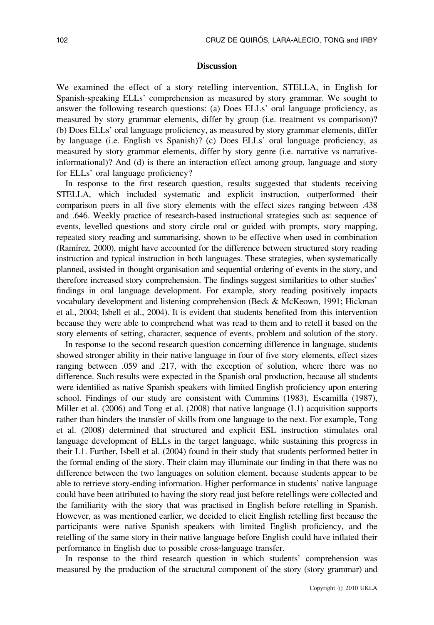#### Discussion

We examined the effect of a story retelling intervention, STELLA, in English for Spanish-speaking ELLs' comprehension as measured by story grammar. We sought to answer the following research questions: (a) Does ELLs' oral language proficiency, as measured by story grammar elements, differ by group (i.e. treatment vs comparison)? (b) Does ELLs' oral language proficiency, as measured by story grammar elements, differ by language (i.e. English vs Spanish)? (c) Does ELLs' oral language proficiency, as measured by story grammar elements, differ by story genre (i.e. narrative vs narrativeinformational)? And (d) is there an interaction effect among group, language and story for ELLs' oral language proficiency?

In response to the first research question, results suggested that students receiving STELLA, which included systematic and explicit instruction, outperformed their comparison peers in all five story elements with the effect sizes ranging between .438 and .646. Weekly practice of research-based instructional strategies such as: sequence of events, levelled questions and story circle oral or guided with prompts, story mapping, repeated story reading and summarising, shown to be effective when used in combination (Ramírez, 2000), might have accounted for the difference between structured story reading instruction and typical instruction in both languages. These strategies, when systematically planned, assisted in thought organisation and sequential ordering of events in the story, and therefore increased story comprehension. The findings suggest similarities to other studies' findings in oral language development. For example, story reading positively impacts vocabulary development and listening comprehension (Beck & McKeown, 1991; Hickman et al., 2004; Isbell et al., 2004). It is evident that students benefited from this intervention because they were able to comprehend what was read to them and to retell it based on the story elements of setting, character, sequence of events, problem and solution of the story.

In response to the second research question concerning difference in language, students showed stronger ability in their native language in four of five story elements, effect sizes ranging between .059 and .217, with the exception of solution, where there was no difference. Such results were expected in the Spanish oral production, because all students were identified as native Spanish speakers with limited English proficiency upon entering school. Findings of our study are consistent with Cummins (1983), Escamilla (1987), Miller et al. (2006) and Tong et al. (2008) that native language (L1) acquisition supports rather than hinders the transfer of skills from one language to the next. For example, Tong et al. (2008) determined that structured and explicit ESL instruction stimulates oral language development of ELLs in the target language, while sustaining this progress in their L1. Further, Isbell et al. (2004) found in their study that students performed better in the formal ending of the story. Their claim may illuminate our finding in that there was no difference between the two languages on solution element, because students appear to be able to retrieve story-ending information. Higher performance in students' native language could have been attributed to having the story read just before retellings were collected and the familiarity with the story that was practised in English before retelling in Spanish. However, as was mentioned earlier, we decided to elicit English retelling first because the participants were native Spanish speakers with limited English proficiency, and the retelling of the same story in their native language before English could have inflated their performance in English due to possible cross-language transfer.

In response to the third research question in which students' comprehension was measured by the production of the structural component of the story (story grammar) and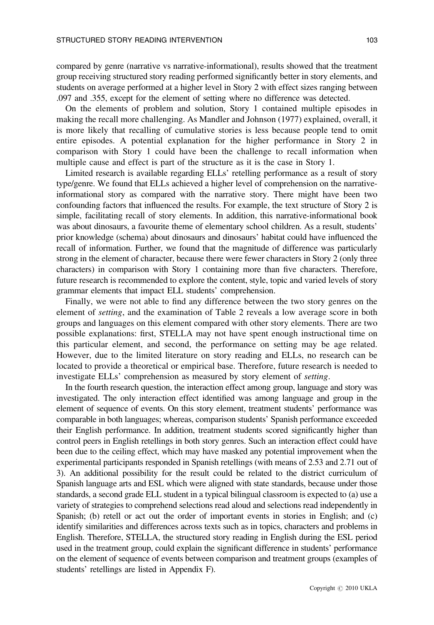compared by genre (narrative vs narrative-informational), results showed that the treatment group receiving structured story reading performed significantly better in story elements, and students on average performed at a higher level in Story 2 with effect sizes ranging between .097 and .355, except for the element of setting where no difference was detected.

On the elements of problem and solution, Story 1 contained multiple episodes in making the recall more challenging. As Mandler and Johnson (1977) explained, overall, it is more likely that recalling of cumulative stories is less because people tend to omit entire episodes. A potential explanation for the higher performance in Story 2 in comparison with Story 1 could have been the challenge to recall information when multiple cause and effect is part of the structure as it is the case in Story 1.

Limited research is available regarding ELLs' retelling performance as a result of story type/genre. We found that ELLs achieved a higher level of comprehension on the narrativeinformational story as compared with the narrative story. There might have been two confounding factors that influenced the results. For example, the text structure of Story 2 is simple, facilitating recall of story elements. In addition, this narrative-informational book was about dinosaurs, a favourite theme of elementary school children. As a result, students' prior knowledge (schema) about dinosaurs and dinosaurs' habitat could have influenced the recall of information. Further, we found that the magnitude of difference was particularly strong in the element of character, because there were fewer characters in Story 2 (only three characters) in comparison with Story 1 containing more than five characters. Therefore, future research is recommended to explore the content, style, topic and varied levels of story grammar elements that impact ELL students' comprehension.

Finally, we were not able to find any difference between the two story genres on the element of setting, and the examination of Table 2 reveals a low average score in both groups and languages on this element compared with other story elements. There are two possible explanations: first, STELLA may not have spent enough instructional time on this particular element, and second, the performance on setting may be age related. However, due to the limited literature on story reading and ELLs, no research can be located to provide a theoretical or empirical base. Therefore, future research is needed to investigate ELLs' comprehension as measured by story element of setting.

In the fourth research question, the interaction effect among group, language and story was investigated. The only interaction effect identified was among language and group in the element of sequence of events. On this story element, treatment students' performance was comparable in both languages; whereas, comparison students' Spanish performance exceeded their English performance. In addition, treatment students scored significantly higher than control peers in English retellings in both story genres. Such an interaction effect could have been due to the ceiling effect, which may have masked any potential improvement when the experimental participants responded in Spanish retellings (with means of 2.53 and 2.71 out of 3). An additional possibility for the result could be related to the district curriculum of Spanish language arts and ESL which were aligned with state standards, because under those standards, a second grade ELL student in a typical bilingual classroom is expected to (a) use a variety of strategies to comprehend selections read aloud and selections read independently in Spanish; (b) retell or act out the order of important events in stories in English; and (c) identify similarities and differences across texts such as in topics, characters and problems in English. Therefore, STELLA, the structured story reading in English during the ESL period used in the treatment group, could explain the significant difference in students' performance on the element of sequence of events between comparison and treatment groups (examples of students' retellings are listed in Appendix F).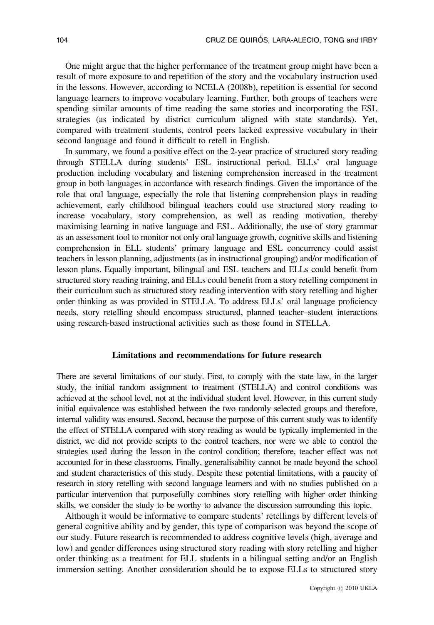One might argue that the higher performance of the treatment group might have been a result of more exposure to and repetition of the story and the vocabulary instruction used in the lessons. However, according to NCELA (2008b), repetition is essential for second language learners to improve vocabulary learning. Further, both groups of teachers were spending similar amounts of time reading the same stories and incorporating the ESL strategies (as indicated by district curriculum aligned with state standards). Yet, compared with treatment students, control peers lacked expressive vocabulary in their second language and found it difficult to retell in English.

In summary, we found a positive effect on the 2-year practice of structured story reading through STELLA during students' ESL instructional period. ELLs' oral language production including vocabulary and listening comprehension increased in the treatment group in both languages in accordance with research findings. Given the importance of the role that oral language, especially the role that listening comprehension plays in reading achievement, early childhood bilingual teachers could use structured story reading to increase vocabulary, story comprehension, as well as reading motivation, thereby maximising learning in native language and ESL. Additionally, the use of story grammar as an assessment tool to monitor not only oral language growth, cognitive skills and listening comprehension in ELL students' primary language and ESL concurrency could assist teachers in lesson planning, adjustments (as in instructional grouping) and/or modification of lesson plans. Equally important, bilingual and ESL teachers and ELLs could benefit from structured story reading training, and ELLs could benefit from a story retelling component in their curriculum such as structured story reading intervention with story retelling and higher order thinking as was provided in STELLA. To address ELLs' oral language proficiency needs, story retelling should encompass structured, planned teacher–student interactions using research-based instructional activities such as those found in STELLA.

# Limitations and recommendations for future research

There are several limitations of our study. First, to comply with the state law, in the larger study, the initial random assignment to treatment (STELLA) and control conditions was achieved at the school level, not at the individual student level. However, in this current study initial equivalence was established between the two randomly selected groups and therefore, internal validity was ensured. Second, because the purpose of this current study was to identify the effect of STELLA compared with story reading as would be typically implemented in the district, we did not provide scripts to the control teachers, nor were we able to control the strategies used during the lesson in the control condition; therefore, teacher effect was not accounted for in these classrooms. Finally, generalisability cannot be made beyond the school and student characteristics of this study. Despite these potential limitations, with a paucity of research in story retelling with second language learners and with no studies published on a particular intervention that purposefully combines story retelling with higher order thinking skills, we consider the study to be worthy to advance the discussion surrounding this topic.

Although it would be informative to compare students' retellings by different levels of general cognitive ability and by gender, this type of comparison was beyond the scope of our study. Future research is recommended to address cognitive levels (high, average and low) and gender differences using structured story reading with story retelling and higher order thinking as a treatment for ELL students in a bilingual setting and/or an English immersion setting. Another consideration should be to expose ELLs to structured story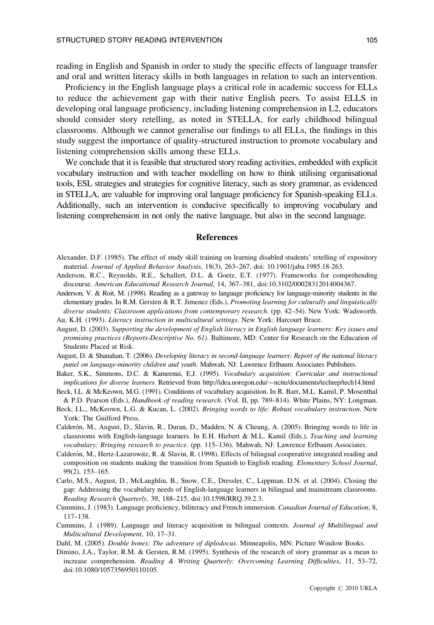reading in English and Spanish in order to study the specific effects of language transfer and oral and written literacy skills in both languages in relation to such an intervention.

Proficiency in the English language plays a critical role in academic success for ELLs to reduce the achievement gap with their native English peers. To assist ELLS in developing oral language proficiency, including listening comprehension in L2, educators should consider story retelling, as noted in STELLA, for early childhood bilingual classrooms. Although we cannot generalise our findings to all ELLs, the findings in this study suggest the importance of quality-structured instruction to promote vocabulary and listening comprehension skills among these ELLs.

We conclude that it is feasible that structured story reading activities, embedded with explicit vocabulary instruction and with teacher modelling on how to think utilising organisational tools, ESL strategies and strategies for cognitive literacy, such as story grammar, as evidenced in STELLA, are valuable for improving oral language proficiency for Spanish-speaking ELLs. Additionally, such an intervention is conducive specifically to improving vocabulary and listening comprehension in not only the native language, but also in the second language.

#### References

- Alexander, D.F. (1985). The effect of study skill training on learning disabled students' retelling of expository material. Journal of Applied Behavior Analysis, 18(3), 263–267, doi: 10.1901/jaba.1985.18-263.
- Anderson, R.C., Reynolds, R.E., Schallert, D.L. & Goetz, E.T. (1977). Frameworks for comprehending discourse. American Educational Research Journal, 14, 367–381, doi:10.3102/00028312014004367.
- Anderson, V. & Roit, M. (1998). Reading as a gateway to language proficiency for language-minority students in the elementary grades. In R.M. Gersten & R.T. Jimenez (Eds.), Promoting learning for culturally and linguistically diverse students: Classroom applications from contemporary research. (pp. 42–54). New York: Wadsworth.
- Au, K.H. (1993). Literacy instruction in multicultural settings. New York: Harcourt Brace.
- August, D. (2003). Supporting the development of English literacy in English language learners: Key issues and promising practices (Reports-Descriptive No. 61). Baltimore, MD: Center for Research on the Education of Students Placed at Risk.
- August, D. & Shanahan, T. (2006). Developing literacy in second-language learners: Report of the national literacy panel on language-minority children and youth. Mahwah, NJ: Lawrence Erlbaum Associates Publishers.
- Baker, S.K., Simmons, D.C. & Kameenui, E.J. (1995). Vocabulary acquisition: Curricular and instructional implications for diverse learners. Retrieved from http://idea.uoregon.edu/~ncite/documents/techrep/tech14.html
- Beck, I.L. & McKeown, M.G. (1991). Conditions of vocabulary acquisition. In R. Barr, M.L. Kamil, P. Mosenthal & P.D. Pearson (Eds.), Handbook of reading research. (Vol. II, pp. 789–814). White Plains, NY: Longman.
- Beck, I.L., McKeown, L.G. & Kucan, L. (2002). Bringing words to life: Robust vocabulary instruction. New York: The Guilford Press.
- Calderón, M., August, D., Slavin, R., Duran, D., Madden, N. & Cheung, A. (2005). Bringing words to life in classrooms with English-language learners. In E.H. Hiebert & M.L. Kamil (Eds.), Teaching and learning vocabulary: Bringing research to practice. (pp. 115–136). Mahwah, NJ: Lawrence Erlbaum Associates.
- Calderón, M., Hertz-Lazarowitz, R. & Slavin, R. (1998). Effects of bilingual cooperative integrated reading and composition on students making the transition from Spanish to English reading. Elementary School Journal, 99(2), 153–165.
- Carlo, M.S., August, D., McLaughlin, B., Snow, C.E., Dressler, C., Lippman, D.N. et al. (2004). Closing the gap: Addressing the vocabulary needs of English-language learners in bilingual and mainstream classrooms. Reading Research Quarterly, 39, 188–215, doi:10.1598/RRQ.39.2.3.
- Cummins, J. (1983). Language proficiency, biliteracy and French immersion. Canadian Journal of Education, 8, 117–138.
- Cummins, J. (1989). Language and literacy acquisition in bilingual contexts. Journal of Multilingual and Multicultural Development, 10, 17–31.
- Dahl, M. (2005). Double bones: The adventure of diplodocus. Minneapolis, MN: Picture Window Books.
- Dimino, J.A., Taylor, R.M. & Gersten, R.M. (1995). Synthesis of the research of story grammar as a mean to increase comprehension. Reading & Writing Quarterly: Overcoming Learning Difficulties, 11, 53–72, doi:10.1080/1057356950110105.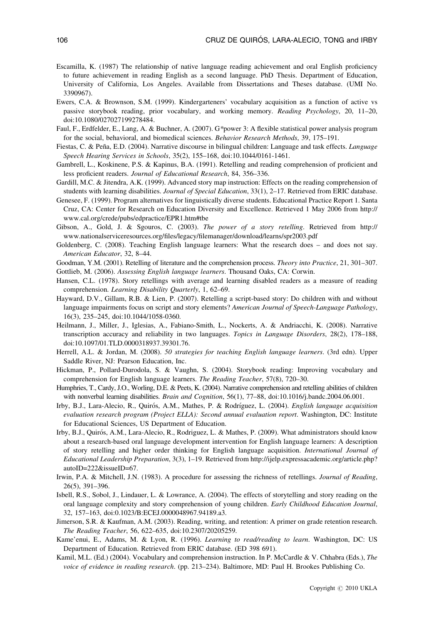- Escamilla, K. (1987) The relationship of native language reading achievement and oral English proficiency to future achievement in reading English as a second language. PhD Thesis. Department of Education, University of California, Los Angeles. Available from Dissertations and Theses database. (UMI No. 3390967).
- Ewers, C.A. & Brownson, S.M. (1999). Kindergarteners' vocabulary acquisition as a function of active vs passive storybook reading, prior vocabulary, and working memory. Reading Psychology, 20, 11-20, doi:10.1080/027027199278484.
- Faul, F., Erdfelder, E., Lang, A. & Buchner, A. (2007). G\*power 3: A flexible statistical power analysis program for the social, behavioral, and biomedical sciences. Behavior Research Methods, 39, 175–191.
- Fiestas, C. & Peña, E.D. (2004). Narrative discourse in bilingual children: Language and task effects. *Language* Speech Hearing Services in Schools, 35(2), 155–168, doi:10.1044/0161-1461.
- Gambrell, L., Koskinene, P.S. & Kapinus, B.A. (1991). Retelling and reading comprehension of proficient and less proficient readers. Journal of Educational Research, 84, 356–336.
- Gardill, M.C. & Jitendra, A.K. (1999). Advanced story map instruction: Effects on the reading comprehension of students with learning disabilities. Journal of Special Education, 33(1), 2-17. Retrieved from ERIC database.
- Genesee, F. (1999). Program alternatives for linguistically diverse students. Educational Practice Report 1. Santa Cruz, CA: Center for Research on Education Diversity and Excellence. Retrieved 1 May 2006 from http:// www.cal.org/crede/pubs/edpractice/EPR1.htm#tbe
- Gibson, A., Gold, J. & Sgouros, C. (2003). The power of a story retelling. Retrieved from http:// www.nationalserviceresources.org/files/legacy/filemanager/download/learns/spr2003.pdf
- Goldenberg, C. (2008). Teaching English language learners: What the research does and does not say. American Educator, 32, 8–44.
- Goodman, Y.M. (2001). Retelling of literature and the comprehension process. Theory into Practice, 21, 301–307.
- Gottlieb, M. (2006). Assessing English language learners. Thousand Oaks, CA: Corwin.
- Hansen, C.L. (1978). Story retellings with average and learning disabled readers as a measure of reading comprehension. Learning Disability Quarterly, 1, 62–69.
- Hayward, D.V., Gillam, R.B. & Lien, P. (2007). Retelling a script-based story: Do children with and without language impairments focus on script and story elements? American Journal of Speech-Language Pathology, 16(3), 235–245, doi:10.1044/1058-0360.
- Heilmann, J., Miller, J., Iglesias, A., Fabiano-Smith, L., Nockerts, A. & Andriacchi, K. (2008). Narrative transcription accuracy and reliability in two languages. Topics in Language Disorders, 28(2), 178–188, doi:10.1097/01.TLD.0000318937.39301.76.
- Herrell, A.L. & Jordan, M. (2008). 50 strategies for teaching English language learners. (3rd edn). Upper Saddle River, NJ: Pearson Education, Inc.
- Hickman, P., Pollard-Durodola, S. & Vaughn, S. (2004). Storybook reading: Improving vocabulary and comprehension for English language learners. The Reading Teacher, 57(8), 720–30.
- Humphries, T., Cardy, J.O., Worling, D.E. & Peets, K. (2004). Narrative comprehension and retelling abilities of children with nonverbal learning disabilities. Brain and Cognition, 56(1), 77–88, doi:10.1016/j.bandc.2004.06.001.
- Irby, B.J., Lara-Alecio, R., Quirós, A.M., Mathes, P. & Rodríguez, L. (2004). English language acquisition evaluation research program (Project ELLA): Second annual evaluation report. Washington, DC: Institute for Educational Sciences, US Department of Education.
- Irby, B.J., Quirós, A.M., Lara-Alecio, R., Rodriguez, L. & Mathes, P. (2009). What administrators should know about a research-based oral language development intervention for English language learners: A description of story retelling and higher order thinking for English language acquisition. International Journal of Educational Leadership Preparation, 3(3), 1–19. Retrieved from http://ijelp.expressacademic.org/article.php? autoID=222&issueID=67.
- Irwin, P.A. & Mitchell, J.N. (1983). A procedure for assessing the richness of retellings. Journal of Reading, 26(5), 391–396.
- Isbell, R.S., Sobol, J., Lindauer, L. & Lowrance, A. (2004). The effects of storytelling and story reading on the oral language complexity and story comprehension of young children. Early Childhood Education Journal, 32, 157–163, doi:0.1023/B:ECEJ.0000048967.94189.a3.
- Jimerson, S.R. & Kaufman, A.M. (2003). Reading, writing, and retention: A primer on grade retention research. The Reading Teacher, 56, 622–635, doi:10.2307/20205259.
- Kame'enui, E., Adams, M. & Lyon, R. (1996). Learning to read/reading to learn. Washington, DC: US Department of Education. Retrieved from ERIC database. (ED 398 691).
- Kamil, M.L. (Ed.) (2004). Vocabulary and comprehension instruction. In P. McCardle & V. Chhabra (Eds.), The voice of evidence in reading research. (pp. 213–234). Baltimore, MD: Paul H. Brookes Publishing Co.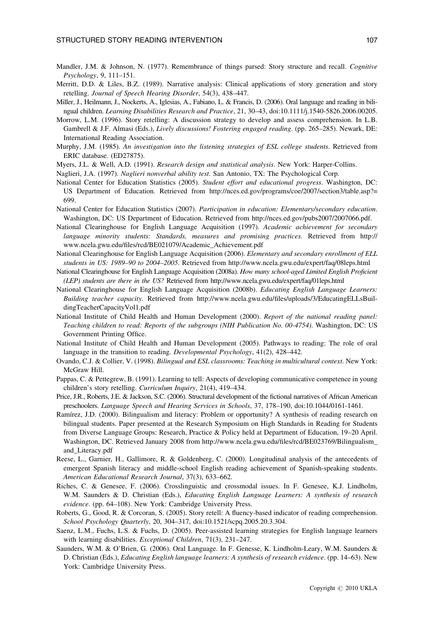- Mandler, J.M. & Johnson, N. (1977). Remembrance of things parsed: Story structure and recall. Cognitive Psychology, 9, 111–151.
- Merritt, D.D. & Liles, B.Z. (1989). Narrative analysis: Clinical applications of story generation and story retelling. Journal of Speech Hearing Disorder, 54(3), 438–447.
- Miller, J., Heilmann, J., Nockerts, A., Iglesias, A., Fabiano, L. & Francis, D. (2006). Oral language and reading in bilingual children. Learning Disabilities Research and Practice, 21, 30–43, doi:10.1111/j.1540-5826.2006.00205.
- Morrow, L.M. (1996). Story retelling: A discussion strategy to develop and assess comprehension. In L.B. Gambrell & J.F. Almasi (Eds.), *Lively discussions! Fostering engaged reading.* (pp. 265–285). Newark, DE: International Reading Association.
- Murphy, J.M. (1985). An investigation into the listening strategies of ESL college students. Retrieved from ERIC database. (ED27875).
- Myers, J.L. & Well, A.D. (1991). Research design and statistical analysis. New York: Harper-Collins.
- Naglieri, J.A. (1997). Naglieri nonverbal ability test. San Antonio, TX: The Psychological Corp.
- National Center for Education Statistics (2005). Student effort and educational progress. Washington, DC: US Department of Education. Retrieved from http://nces.ed.gov/programs/coe/2007/section3/table.asp?= 699.
- National Center for Education Statistics (2007). Participation in education: Elementary/secondary education. Washington, DC: US Department of Education. Retrieved from http://nces.ed.gov/pubs2007/2007066.pdf.
- National Clearinghouse for English Language Acquisition (1997). Academic achievement for secondary language minority students: Standards, measures and promising practices. Retrieved from http:// www.ncela.gwu.edu/files/rcd/BE021079/Academic\_Achievement.pdf
- National Clearinghouse for English Language Acquisition (2006). *Elementary and secondary enrollment of ELL* students in US: 1989–90 to 2004–2005. Retrieved from http://www.ncela.gwu.edu/expert/faq/08leps.html
- National Clearinghouse for English Language Acquisition (2008a). How many school-aged Limited English Proficient (LEP) students are there in the US? Retrieved from http://www.ncela.gwu.edu/expert/faq/01leps.html
- National Clearinghouse for English Language Acquisition (2008b). Educating English Language Learners: Building teacher capacity. Retrieved from http://www.ncela.gwu.edu/files/uploads/3/EducatingELLsBuildingTeacherCapacityVol1.pdf
- National Institute of Child Health and Human Development (2000). Report of the national reading panel: Teaching children to read: Reports of the subgroups (NIH Publication No. 00-4754). Washington, DC: US Government Printing Office.
- National Institute of Child Health and Human Development (2005). Pathways to reading: The role of oral language in the transition to reading. *Developmental Psychology*, 41(2), 428–442.
- Ovando, C.J. & Collier, V. (1998). Bilingual and ESL classrooms: Teaching in multicultural context. New York: McGraw Hill.
- Pappas, C. & Pettegrew, B. (1991). Learning to tell: Aspects of developing communicative competence in young children's story retelling. Curriculum Inquiry, 21(4), 419–434.
- Price, J.R., Roberts, J.E. & Jackson, S.C. (2006). Structural development of the fictional narratives of African American preschoolers. Language Speech and Hearing Services in Schools, 37, 178–190, doi:10.1044/0161-1461.
- Ramírez, J.D. (2000). Bilingualism and literacy: Problem or opportunity? A synthesis of reading research on bilingual students. Paper presented at the Research Symposium on High Standards in Reading for Students from Diverse Language Groups: Research, Practice & Policy held at Department of Education, 19–20 April. Washington, DC. Retrieved January 2008 from http://www.ncela.gwu.edu/files/rcd/BE023769/Bilingualism\_ and\_Literacy.pdf
- Reese, L., Garnier, H., Gallimore, R. & Goldenberg, C. (2000). Longitudinal analysis of the antecedents of emergent Spanish literacy and middle-school English reading achievement of Spanish-speaking students. American Educational Research Journal, 37(3), 633–662.
- Riches, C. & Genesee, F. (2006). Crosslinguistic and crossmodal issues. In F. Genesee, K.J. Lindholm, W.M. Saunders & D. Christian (Eds.), Educating English Language Learners: A synthesis of research evidence. (pp. 64–108). New York: Cambridge University Press.
- Roberts, G., Good, R. & Corcoran, S. (2005). Story retell: A fluency-based indicator of reading comprehension. School Psychology Quarterly, 20, 304–317, doi:10.1521/scpq.2005.20.3.304.
- Saenz, L.M., Fuchs, L.S. & Fuchs, D. (2005). Peer-assisted learning strategies for English language learners with learning disabilities. Exceptional Children, 71(3), 231–247.
- Saunders, W.M. & O'Brien, G. (2006). Oral Language. In F. Genesse, K. Lindholm-Leary, W.M. Saunders & D. Christian (Eds.), Educating English language learners: A synthesis of research evidence. (pp. 14–63). New York: Cambridge University Press.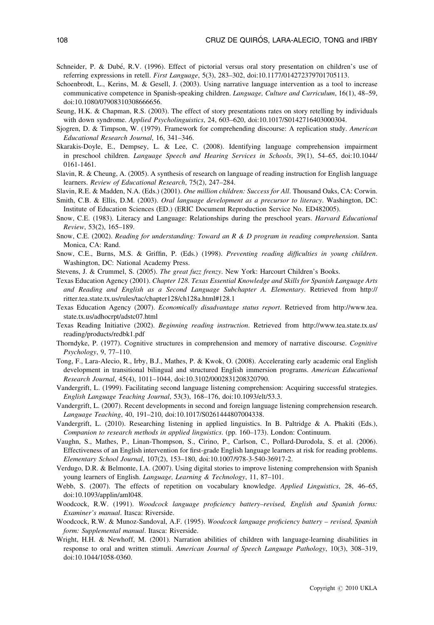- Schneider, P. & Dubé, R.V. (1996). Effect of pictorial versus oral story presentation on children's use of referring expressions in retell. First Language, 5(3), 283–302, doi:10.1177/014272379701705113.
- Schoenbrodt, L., Kerins, M. & Gesell, J. (2003). Using narrative language intervention as a tool to increase communicative competence in Spanish-speaking children. Language, Culture and Curriculum, 16(1), 48–59, doi:10.1080/07908310308666656.
- Seung, H.K. & Chapman, R.S. (2003). The effect of story presentations rates on story retelling by individuals with down syndrome. Applied Psycholinguistics, 24, 603–620, doi:10.1017/S0142716403000304.
- Sjogren, D. & Timpson, W. (1979). Framework for comprehending discourse: A replication study. American Educational Research Journal, 16, 341–346.
- Skarakis-Doyle, E., Dempsey, L. & Lee, C. (2008). Identifying language comprehension impairment in preschool children. Language Speech and Hearing Services in Schools, 39(1), 54–65, doi:10.1044/ 0161-1461.
- Slavin, R. & Cheung, A. (2005). A synthesis of research on language of reading instruction for English language learners. Review of Educational Research, 75(2), 247–284.
- Slavin, R.E. & Madden, N.A. (Eds.) (2001). One million children: Success for All. Thousand Oaks, CA: Corwin.
- Smith, C.B. & Ellis, D.M. (2003). Oral language development as a precursor to literacy. Washington, DC: Institute of Education Sciences (ED.) (ERIC Document Reproduction Service No. ED482005).
- Snow, C.E. (1983). Literacy and Language: Relationships during the preschool years. Harvard Educational Review, 53(2), 165–189.
- Snow, C.E. (2002). Reading for understanding: Toward an R & D program in reading comprehension. Santa Monica, CA: Rand.
- Snow, C.E., Burns, M.S. & Griffin, P. (Eds.) (1998). Preventing reading difficulties in young children. Washington, DC: National Academy Press.
- Stevens, J. & Crummel, S. (2005). The great fuzz frenzy. New York: Harcourt Children's Books.
- Texas Education Agency (2001). Chapter 128. Texas Essential Knowledge and Skills for Spanish Language Arts and Reading and English as a Second Language Subchapter A. Elementary. Retrieved from http:// ritter.tea.state.tx.us/rules/tac/chapter128/ch128a.html#128.1
- Texas Education Agency (2007). Economically disadvantage status report. Retrieved from http://www.tea. state.tx.us/adhocrpt/adstc07.html
- Texas Reading Initiative (2002). Beginning reading instruction. Retrieved from http://www.tea.state.tx.us/ reading/products/redbk1.pdf
- Thorndyke, P. (1977). Cognitive structures in comprehension and memory of narrative discourse. Cognitive Psychology, 9, 77–110.
- Tong, F., Lara-Alecio, R., Irby, B.J., Mathes, P. & Kwok, O. (2008). Accelerating early academic oral English development in transitional bilingual and structured English immersion programs. American Educational Research Journal, 45(4), 1011–1044, doi:10.3102/0002831208320790.
- Vandergrift, L. (1999). Facilitating second language listening comprehension: Acquiring successful strategies. English Language Teaching Journal, 53(3), 168–176, doi:10.1093/elt/53.3.
- Vandergrift, L. (2007). Recent developments in second and foreign language listening comprehension research. Language Teaching, 40, 191–210, doi:10.1017/S0261444807004338.
- Vandergrift, L. (2010). Researching listening in applied linguistics. In B. Paltridge & A. Phakiti (Eds.), Companion to research methods in applied linguistics. (pp. 160–173). London: Continuum.
- Vaughn, S., Mathes, P., Linan-Thompson, S., Cirino, P., Carlson, C., Pollard-Durodola, S. et al. (2006). Effectiveness of an English intervention for first-grade English language learners at risk for reading problems. Elementary School Journal, 107(2), 153–180, doi:10.1007/978-3-540-36917-2.
- Verdugo, D.R. & Belmonte, I.A. (2007). Using digital stories to improve listening comprehension with Spanish young learners of English. Language, Learning & Technology, 11, 87-101.
- Webb, S. (2007). The effects of repetition on vocabulary knowledge. Applied Linguistics, 28, 46–65, doi:10.1093/applin/aml048.
- Woodcock, R.W. (1991). Woodcock language proficiency battery–revised, English and Spanish forms: Examiner's manual. Itasca: Riverside.
- Woodcock, R.W. & Munoz-Sandoval, A.F. (1995). Woodcock language proficiency battery revised, Spanish form: Supplemental manual. Itasca: Riverside.
- Wright, H.H. & Newhoff, M. (2001). Narration abilities of children with language-learning disabilities in response to oral and written stimuli. American Journal of Speech Language Pathology, 10(3), 308–319, doi:10.1044/1058-0360.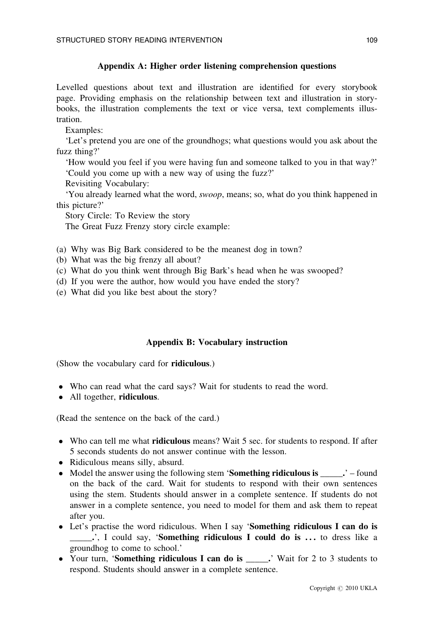# Appendix A: Higher order listening comprehension questions

Levelled questions about text and illustration are identified for every storybook page. Providing emphasis on the relationship between text and illustration in storybooks, the illustration complements the text or vice versa, text complements illustration.

Examples:

'Let's pretend you are one of the groundhogs; what questions would you ask about the fuzz thing?'

'How would you feel if you were having fun and someone talked to you in that way?' 'Could you come up with a new way of using the fuzz?'

Revisiting Vocabulary:

'You already learned what the word, swoop, means; so, what do you think happened in this picture?'

Story Circle: To Review the story

The Great Fuzz Frenzy story circle example:

- (a) Why was Big Bark considered to be the meanest dog in town?
- (b) What was the big frenzy all about?
- (c) What do you think went through Big Bark's head when he was swooped?
- (d) If you were the author, how would you have ended the story?
- (e) What did you like best about the story?

# Appendix B: Vocabulary instruction

(Show the vocabulary card for ridiculous.)

- Who can read what the card says? Wait for students to read the word.
- All together, ridiculous.

(Read the sentence on the back of the card.)

- Who can tell me what ridiculous means? Wait 5 sec. for students to respond. If after 5 seconds students do not answer continue with the lesson.
- Ridiculous means silly, absurd.
- Model the answer using the following stem '**Something ridiculous is \_\_\_\_\_.**' found on the back of the card. Wait for students to respond with their own sentences using the stem. Students should answer in a complete sentence. If students do not answer in a complete sentence, you need to model for them and ask them to repeat after you.
- Let's practise the word ridiculous. When I say 'Something ridiculous I can do is \_\_\_\_\_.', I could say, 'Something ridiculous I could do is . . . to dress like a groundhog to come to school.'
- Your turn, 'Something ridiculous I can do is ... Wait for 2 to 3 students to respond. Students should answer in a complete sentence.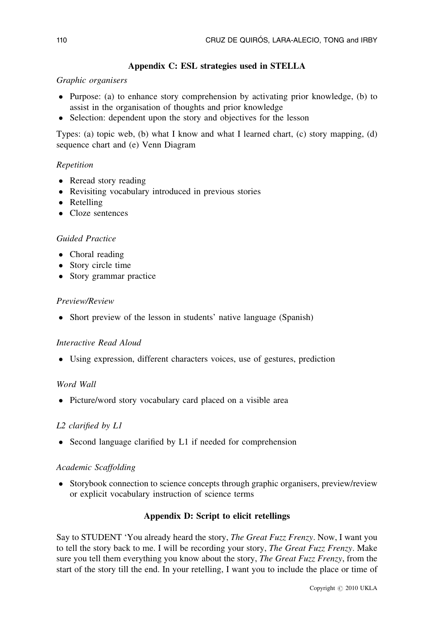# Appendix C: ESL strategies used in STELLA

# Graphic organisers

- Purpose: (a) to enhance story comprehension by activating prior knowledge, (b) to assist in the organisation of thoughts and prior knowledge
- Selection: dependent upon the story and objectives for the lesson

Types: (a) topic web, (b) what I know and what I learned chart, (c) story mapping, (d) sequence chart and (e) Venn Diagram

# Repetition

- Reread story reading
- Revisiting vocabulary introduced in previous stories
- Retelling
- Cloze sentences

# Guided Practice

- Choral reading
- Story circle time
- Story grammar practice

# Preview/Review

• Short preview of the lesson in students' native language (Spanish)

# Interactive Read Aloud

Using expression, different characters voices, use of gestures, prediction

# Word Wall

Picture/word story vocabulary card placed on a visible area

# L2 clarified by L1

• Second language clarified by L1 if needed for comprehension

# Academic Scaffolding

• Storybook connection to science concepts through graphic organisers, preview/review or explicit vocabulary instruction of science terms

# Appendix D: Script to elicit retellings

Say to STUDENT 'You already heard the story, The Great Fuzz Frenzy. Now, I want you to tell the story back to me. I will be recording your story, The Great Fuzz Frenzy. Make sure you tell them everything you know about the story, The Great Fuzz Frenzy, from the start of the story till the end. In your retelling, I want you to include the place or time of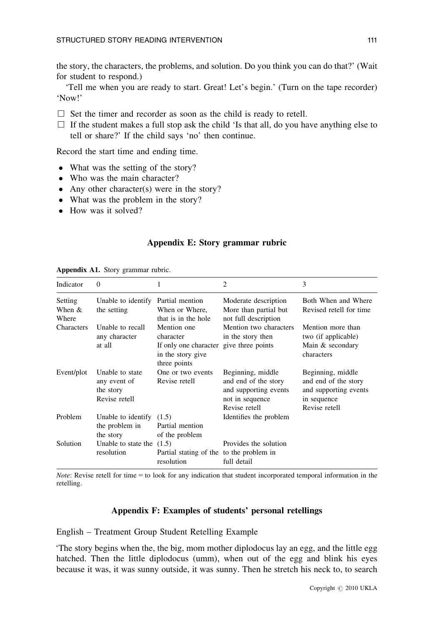the story, the characters, the problems, and solution. Do you think you can do that?' (Wait for student to respond.)

'Tell me when you are ready to start. Great! Let's begin.' (Turn on the tape recorder) 'Now!'

- $\Box$  Set the timer and recorder as soon as the child is ready to retell.
- $\Box$  If the student makes a full stop ask the child 'Is that all, do you have anything else to tell or share?' If the child says 'no' then continue.

Record the start time and ending time.

- What was the setting of the story?
- Who was the main character?
- Any other character(s) were in the story?
- What was the problem in the story?
- How was it solved?

# Appendix E: Story grammar rubric

| Indicator                    | $\Omega$                                                      |                                                                                                          | $\overline{c}$                                                                                         | 3                                                                                                  |
|------------------------------|---------------------------------------------------------------|----------------------------------------------------------------------------------------------------------|--------------------------------------------------------------------------------------------------------|----------------------------------------------------------------------------------------------------|
| Setting<br>When $&$<br>Where | Unable to identify<br>the setting                             | Partial mention<br>When or Where,<br>that is in the hole                                                 | Moderate description<br>More than partial but<br>not full description                                  | Both When and Where<br>Revised retell for time                                                     |
| <b>Characters</b>            | Unable to recall<br>any character<br>at all                   | Mention one<br>character<br>If only one character give three points<br>in the story give<br>three points | Mention two characters<br>in the story then                                                            | Mention more than<br>two (if applicable)<br>Main & secondary<br>characters                         |
| Event/plot                   | Unable to state<br>any event of<br>the story<br>Revise retell | One or two events<br>Revise retell                                                                       | Beginning, middle<br>and end of the story<br>and supporting events<br>not in sequence<br>Revise retell | Beginning, middle<br>and end of the story<br>and supporting events<br>in sequence<br>Revise retell |
| Problem                      | Unable to identify<br>the problem in<br>the story             | (1.5)<br>Partial mention<br>of the problem                                                               | Identifies the problem                                                                                 |                                                                                                    |
| Solution                     | Unable to state the $(1.5)$<br>resolution                     | Partial stating of the to the problem in<br>resolution                                                   | Provides the solution<br>full detail                                                                   |                                                                                                    |

Appendix A1. Story grammar rubric.

*Note*: Revise retell for time  $=$  to look for any indication that student incorporated temporal information in the retelling.

## Appendix F: Examples of students' personal retellings

English – Treatment Group Student Retelling Example

'The story begins when the, the big, mom mother diplodocus lay an egg, and the little egg hatched. Then the little diplodocus (umm), when out of the egg and blink his eyes because it was, it was sunny outside, it was sunny. Then he stretch his neck to, to search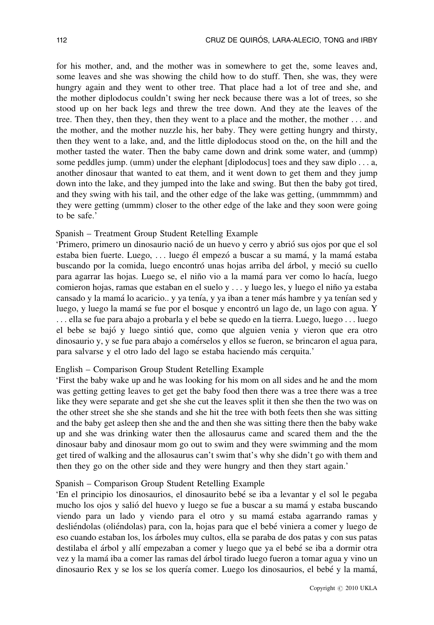for his mother, and, and the mother was in somewhere to get the, some leaves and, some leaves and she was showing the child how to do stuff. Then, she was, they were hungry again and they went to other tree. That place had a lot of tree and she, and the mother diplodocus couldn't swing her neck because there was a lot of trees, so she stood up on her back legs and threw the tree down. And they ate the leaves of the tree. Then they, then they, then they went to a place and the mother, the mother . . . and the mother, and the mother nuzzle his, her baby. They were getting hungry and thirsty, then they went to a lake, and, and the little diplodocus stood on the, on the hill and the mother tasted the water. Then the baby came down and drink some water, and (ummp) some peddles jump. (umm) under the elephant [diplodocus] toes and they saw diplo . . . a, another dinosaur that wanted to eat them, and it went down to get them and they jump down into the lake, and they jumped into the lake and swing. But then the baby got tired, and they swing with his tail, and the other edge of the lake was getting, (ummmmm) and they were getting (ummm) closer to the other edge of the lake and they soon were going to be safe.'

# Spanish – Treatment Group Student Retelling Example

'Primero, primero un dinosaurio nacio´ de un huevo y cerro y abrio´ sus ojos por que el sol estaba bien fuerte. Luego, ... luego él empezó a buscar a su mamá, y la mamá estaba buscando por la comida, luego encontró unas hojas arriba del árbol, y meció su cuello para agarrar las hojas. Luego se, el niño vio a la mamá para ver como lo hacía, luego comieron hojas, ramas que estaban en el suelo y . . . y luego les, y luego el niño ya estaba cansado y la mamá lo acaricio.. y ya tenía, y ya iban a tener más hambre y ya tenían sed y luego, y luego la mamá se fue por el bosque y encontró un lago de, un lago con agua. Y . . . ella se fue para abajo a probarla y el bebe se quedo en la tierra. Luego, luego . . . luego el bebe se bajó y luego sintió que, como que alguien venia y vieron que era otro dinosaurio y, y se fue para abajo a comérselos y ellos se fueron, se brincaron el agua para, para salvarse y el otro lado del lago se estaba haciendo más cerquita.'

## English – Comparison Group Student Retelling Example

'First the baby wake up and he was looking for his mom on all sides and he and the mom was getting getting leaves to get get the baby food then there was a tree there was a tree like they were separate and get she she cut the leaves split it then she then the two was on the other street she she she stands and she hit the tree with both feets then she was sitting and the baby get asleep then she and the and then she was sitting there then the baby wake up and she was drinking water then the allosaurus came and scared them and the the dinosaur baby and dinosaur mom go out to swim and they were swimming and the mom get tired of walking and the allosaurus can't swim that's why she didn't go with them and then they go on the other side and they were hungry and then they start again.'

## Spanish – Comparison Group Student Retelling Example

'En el principio los dinosaurios, el dinosaurito bebe´ se iba a levantar y el sol le pegaba mucho los ojos y salió del huevo y luego se fue a buscar a su mamá y estaba buscando viendo para un lado y viendo para el otro y su mamá estaba agarrando ramas y desliéndolas (oliéndolas) para, con la, hojas para que el bebé viniera a comer y luego de eso cuando estaban los, los a´rboles muy cultos, ella se paraba de dos patas y con sus patas destilaba el árbol y allí empezaban a comer y luego que ya el bebé se iba a dormir otra vez y la mama´ iba a comer las ramas del a´rbol tirado luego fueron a tomar agua y vino un dinosaurio Rex y se los se los quería comer. Luego los dinosaurios, el bebé y la mamá,